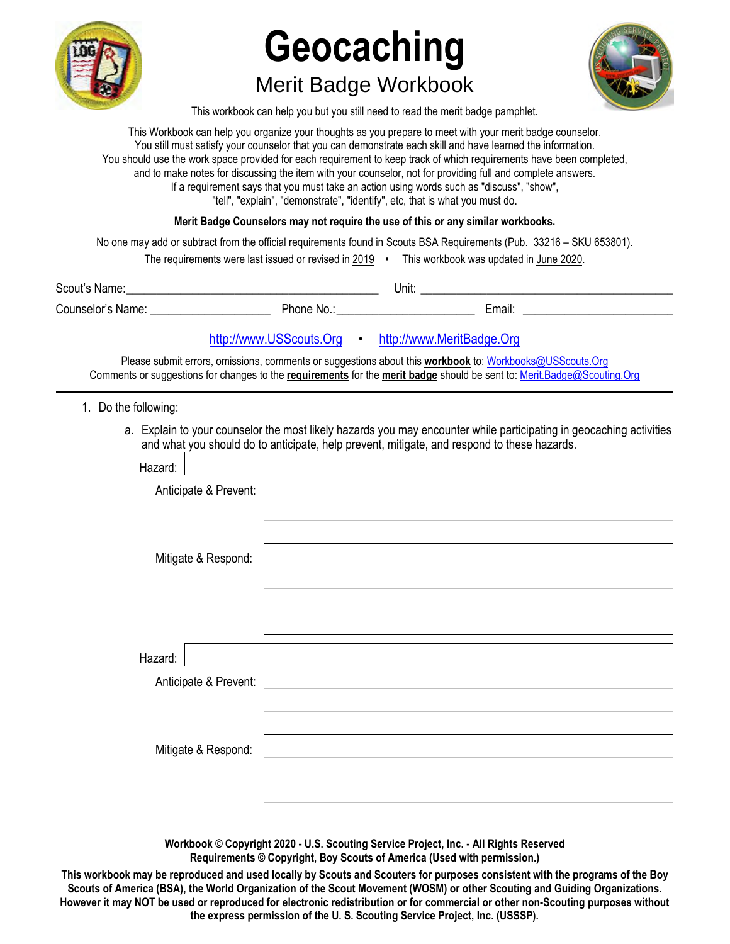

# **Geocaching**

## Merit Badge Workbook



This workbook can help you but you still need to read the merit badge pamphlet.

This Workbook can help you organize your thoughts as you prepare to meet with your merit badge counselor. You still must satisfy your counselor that you can demonstrate each skill and have learned the information. You should use the work space provided for each requirement to keep track of which requirements have been completed, and to make notes for discussing the item with your counselor, not for providing full and complete answers. If a requirement says that you must take an action using words such as "discuss", "show", "tell", "explain", "demonstrate", "identify", etc, that is what you must do.

**Merit Badge Counselors may not require the use of this or any similar workbooks.**

No one may add or subtract from the official requirements found in Scouts BSA Requirements (Pub. 33216 – SKU 653801).

|                   | The requirements were last issued or revised in 2019 • |  | This workbook was updated in June 2020. |  |
|-------------------|--------------------------------------------------------|--|-----------------------------------------|--|
| Scout's Name:     |                                                        |  | Unit:                                   |  |
| Counselor's Name: | Phone No.:                                             |  | Email:                                  |  |

## http://www.USScouts.Org • http://www.MeritBadge.Org

Please submit errors, omissions, comments or suggestions about this **workbook** to: Workbooks@USScouts.Org Comments or suggestions for changes to the **requirements** for the **merit badge** should be sent to: Merit.Badge@Scouting.Org *\_\_\_\_\_\_\_\_\_\_\_\_\_\_\_\_\_\_\_\_\_\_\_\_\_\_\_\_\_\_\_\_\_\_\_\_\_\_\_\_\_\_\_\_\_\_\_\_\_\_\_\_\_\_\_\_\_\_\_\_\_\_\_\_\_\_\_\_\_\_\_\_\_\_\_\_\_\_\_\_\_\_\_\_\_\_\_\_\_\_\_\_\_\_\_\_\_\_\_\_\_\_\_\_\_\_\_\_\_\_\_\_\_\_\_\_\_\_\_\_\_\_\_\_\_\_\_\_\_\_\_\_\_\_\_\_\_\_\_\_\_\_* 

- 1. Do the following:
	- a. Explain to your counselor the most likely hazards you may encounter while participating in geocaching activities and what you should do to anticipate, help prevent, mitigate, and respond to these hazards.

| Hazard:               |  |
|-----------------------|--|
| Anticipate & Prevent: |  |
|                       |  |
|                       |  |
| Mitigate & Respond:   |  |
|                       |  |
|                       |  |
|                       |  |
|                       |  |
| Hazard:               |  |
| Anticipate & Prevent: |  |
|                       |  |
|                       |  |
| Mitigate & Respond:   |  |
|                       |  |
|                       |  |
|                       |  |
|                       |  |

**Workbook © Copyright 2020 - U.S. Scouting Service Project, Inc. - All Rights Reserved Requirements © Copyright, Boy Scouts of America (Used with permission.)** 

**This workbook may be reproduced and used locally by Scouts and Scouters for purposes consistent with the programs of the Boy Scouts of America (BSA), the World Organization of the Scout Movement (WOSM) or other Scouting and Guiding Organizations. However it may NOT be used or reproduced for electronic redistribution or for commercial or other non-Scouting purposes without the express permission of the U. S. Scouting Service Project, Inc. (USSSP).**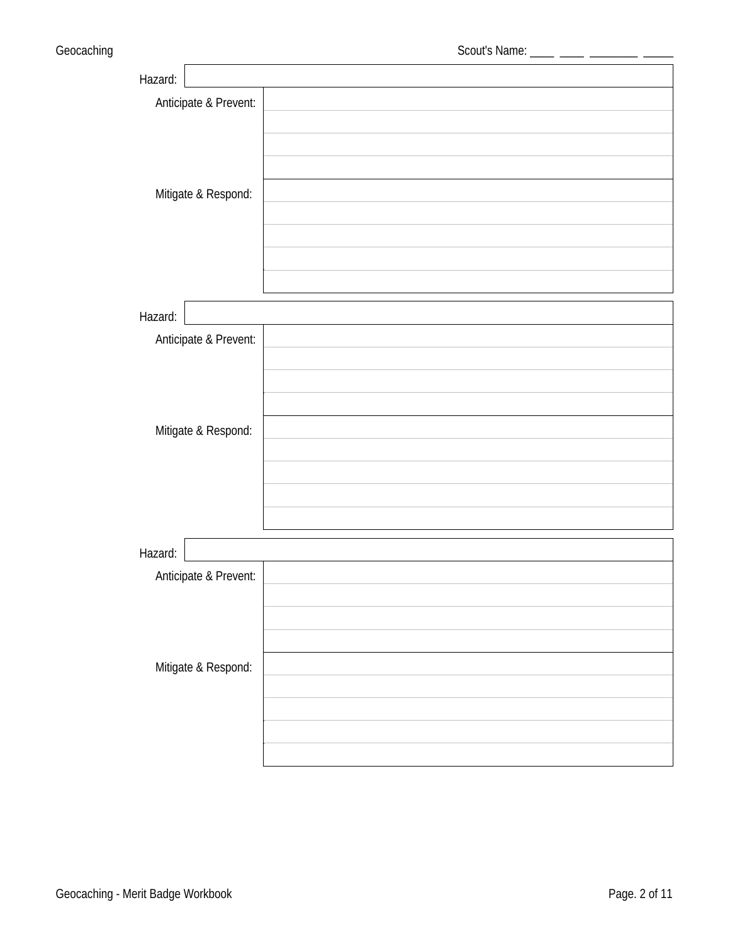| Hazard:               |  |
|-----------------------|--|
| Anticipate & Prevent: |  |
|                       |  |
|                       |  |
|                       |  |
| Mitigate & Respond:   |  |
|                       |  |
|                       |  |
|                       |  |
|                       |  |
|                       |  |
| Hazard:               |  |
| Anticipate & Prevent: |  |
|                       |  |
|                       |  |
|                       |  |
| Mitigate & Respond:   |  |
|                       |  |
|                       |  |
|                       |  |
|                       |  |
| Hazard:               |  |
| Anticipate & Prevent: |  |
|                       |  |
|                       |  |
|                       |  |
| Mitigate & Respond:   |  |
|                       |  |
|                       |  |
|                       |  |
|                       |  |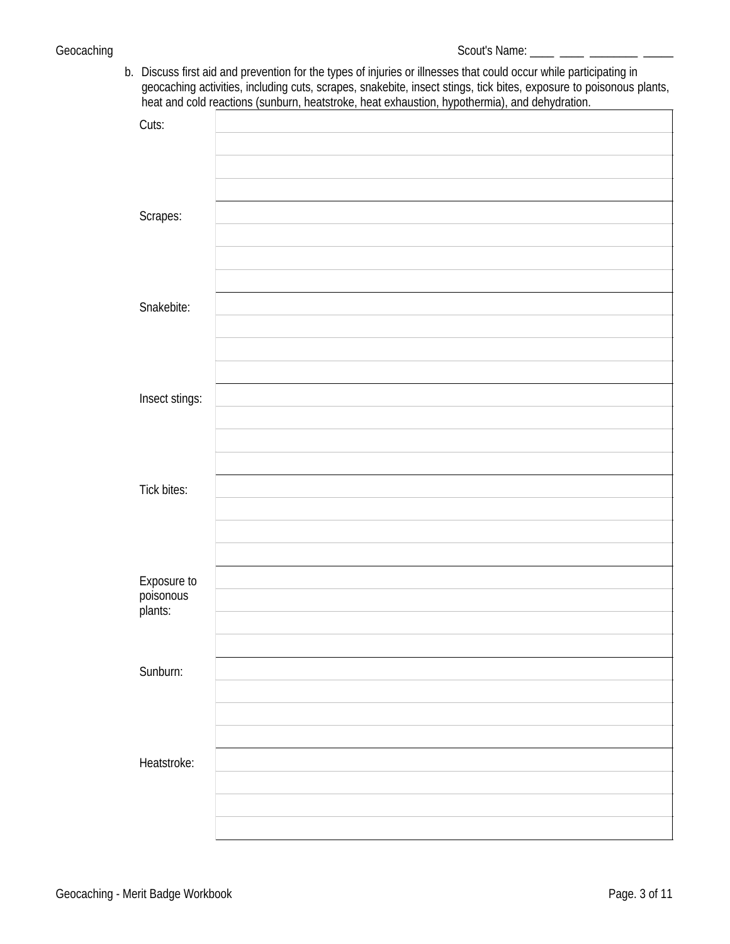b. Discuss first aid and prevention for the types of injuries or illnesses that could occur while participating in geocaching activities, including cuts, [scrapes,](http://meritbadge.org/wiki/index.php/Scrapes) snakebite, insect stings, tick bites, exposure to poisonous plants, heat and cold reactions (sunburn, heatstroke, heat exhaustion, hypothermia), and dehydration.

| Cuts:                    |  |
|--------------------------|--|
|                          |  |
|                          |  |
|                          |  |
|                          |  |
|                          |  |
|                          |  |
|                          |  |
| Scrapes:                 |  |
|                          |  |
|                          |  |
|                          |  |
|                          |  |
|                          |  |
|                          |  |
|                          |  |
| Snakebite:               |  |
|                          |  |
|                          |  |
|                          |  |
|                          |  |
|                          |  |
|                          |  |
|                          |  |
| Insect stings:           |  |
|                          |  |
|                          |  |
|                          |  |
|                          |  |
|                          |  |
|                          |  |
|                          |  |
| <b>Tick bites:</b>       |  |
|                          |  |
|                          |  |
|                          |  |
|                          |  |
|                          |  |
|                          |  |
|                          |  |
| Exposure to<br>poisonous |  |
|                          |  |
| plants:                  |  |
|                          |  |
|                          |  |
|                          |  |
|                          |  |
|                          |  |
| Sunburn:                 |  |
|                          |  |
|                          |  |
|                          |  |
|                          |  |
|                          |  |
|                          |  |
|                          |  |
| Heatstroke:              |  |
|                          |  |
|                          |  |
|                          |  |
|                          |  |
|                          |  |
|                          |  |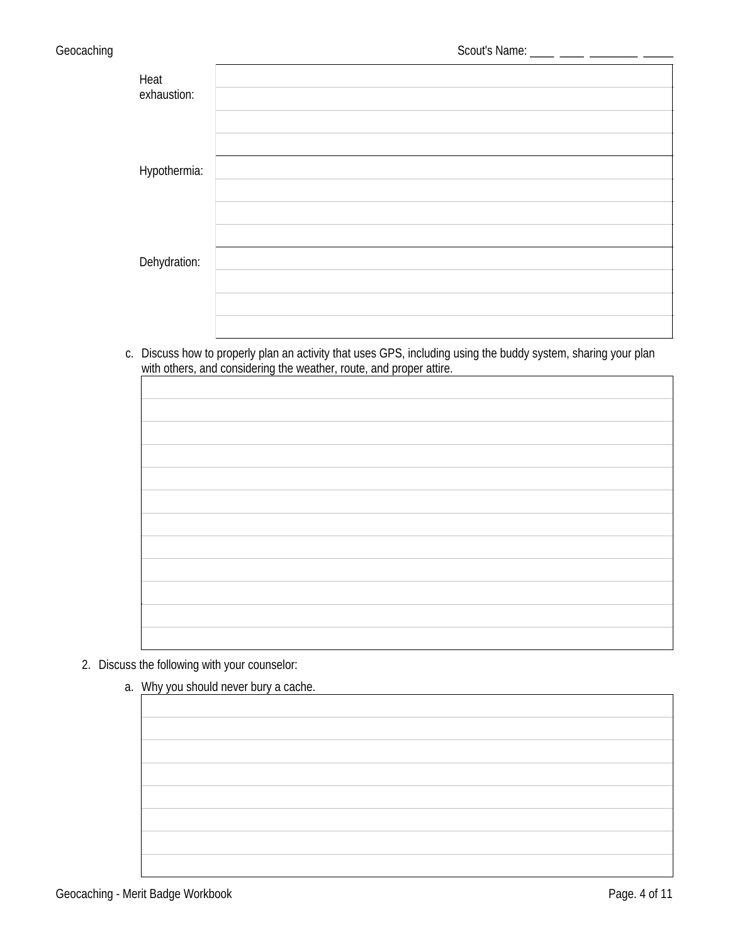| Heat<br>exhaustion: |  |
|---------------------|--|
|                     |  |
|                     |  |
| Hypothermia:        |  |
|                     |  |
| Dehydration:        |  |
|                     |  |
|                     |  |

c. Discuss how to properly plan an activity that uses GPS, including using the buddy system, sharing your plan with others, and considering the weather, route, and proper attire.

| with others, and considering the weather, route, and proper attire. |  |  |  |  |
|---------------------------------------------------------------------|--|--|--|--|
|                                                                     |  |  |  |  |
|                                                                     |  |  |  |  |
|                                                                     |  |  |  |  |
|                                                                     |  |  |  |  |
|                                                                     |  |  |  |  |
|                                                                     |  |  |  |  |
|                                                                     |  |  |  |  |
|                                                                     |  |  |  |  |
|                                                                     |  |  |  |  |
|                                                                     |  |  |  |  |
|                                                                     |  |  |  |  |
|                                                                     |  |  |  |  |

## 2. Discuss the following with your counselor:

a. Why you should never bury a cache.

| . |  |
|---|--|
|   |  |
|   |  |
|   |  |
|   |  |
|   |  |
|   |  |
|   |  |
|   |  |
|   |  |
|   |  |
|   |  |
|   |  |
|   |  |
|   |  |
|   |  |
|   |  |
|   |  |
|   |  |
|   |  |
|   |  |
|   |  |
|   |  |
|   |  |
|   |  |
|   |  |
|   |  |
|   |  |
|   |  |
|   |  |
|   |  |
|   |  |
|   |  |
|   |  |
|   |  |
|   |  |
|   |  |
|   |  |
|   |  |
|   |  |
|   |  |
|   |  |
|   |  |
|   |  |
|   |  |
|   |  |
|   |  |
|   |  |
|   |  |
|   |  |
|   |  |
|   |  |
|   |  |
|   |  |
|   |  |
|   |  |
|   |  |
|   |  |
|   |  |
|   |  |
|   |  |
|   |  |
|   |  |
|   |  |
|   |  |
|   |  |
|   |  |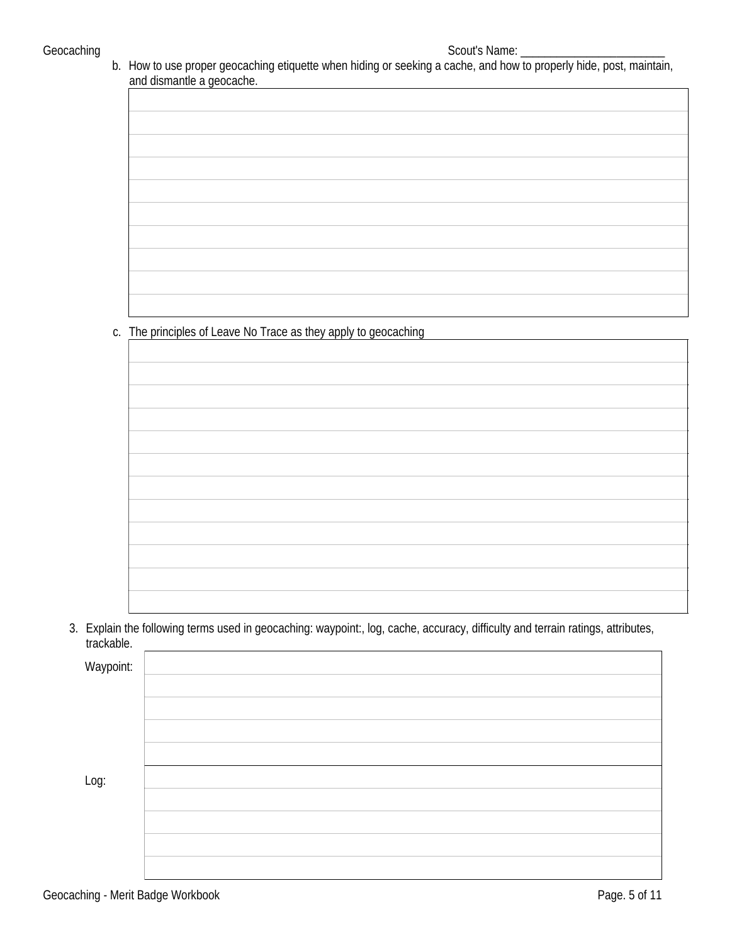b. How to use proper geocaching etiquette when hiding or seeking a cache, and how to properly hide, post, maintain, and dismantle a geocache.

| $\tilde{\phantom{a}}$ |  |
|-----------------------|--|
|                       |  |
|                       |  |
|                       |  |
|                       |  |
|                       |  |
|                       |  |
|                       |  |
|                       |  |
|                       |  |
|                       |  |
|                       |  |
|                       |  |
|                       |  |
|                       |  |
|                       |  |
|                       |  |
|                       |  |
|                       |  |
|                       |  |
|                       |  |
|                       |  |
|                       |  |
|                       |  |
|                       |  |
|                       |  |
|                       |  |
|                       |  |
|                       |  |
|                       |  |
|                       |  |
|                       |  |
|                       |  |
|                       |  |
|                       |  |
|                       |  |
|                       |  |
|                       |  |
|                       |  |
|                       |  |
|                       |  |
|                       |  |
|                       |  |
|                       |  |
|                       |  |
|                       |  |
|                       |  |
|                       |  |
|                       |  |
|                       |  |
|                       |  |
|                       |  |
|                       |  |
|                       |  |
|                       |  |
|                       |  |
|                       |  |
|                       |  |
|                       |  |
|                       |  |
|                       |  |
|                       |  |
|                       |  |
|                       |  |
|                       |  |
|                       |  |
|                       |  |
|                       |  |
|                       |  |
|                       |  |
|                       |  |
|                       |  |
|                       |  |

c. The principles o[f Leave No Trace](http://meritbadge.org/wiki/index.php/Leave_No_Trace) as they apply to geocaching

3. Explain the following terms used in geocaching: waypoint:, log, cache, accuracy, difficulty and terrain ratings, attributes, trackable. <u> 1980 - Andrea Station Barbara, actor a component de la componentación de la componentación de la componentaci</u>

| Waypoint: |  |
|-----------|--|
|           |  |
|           |  |
|           |  |
|           |  |
| Log:      |  |
|           |  |
|           |  |
|           |  |
|           |  |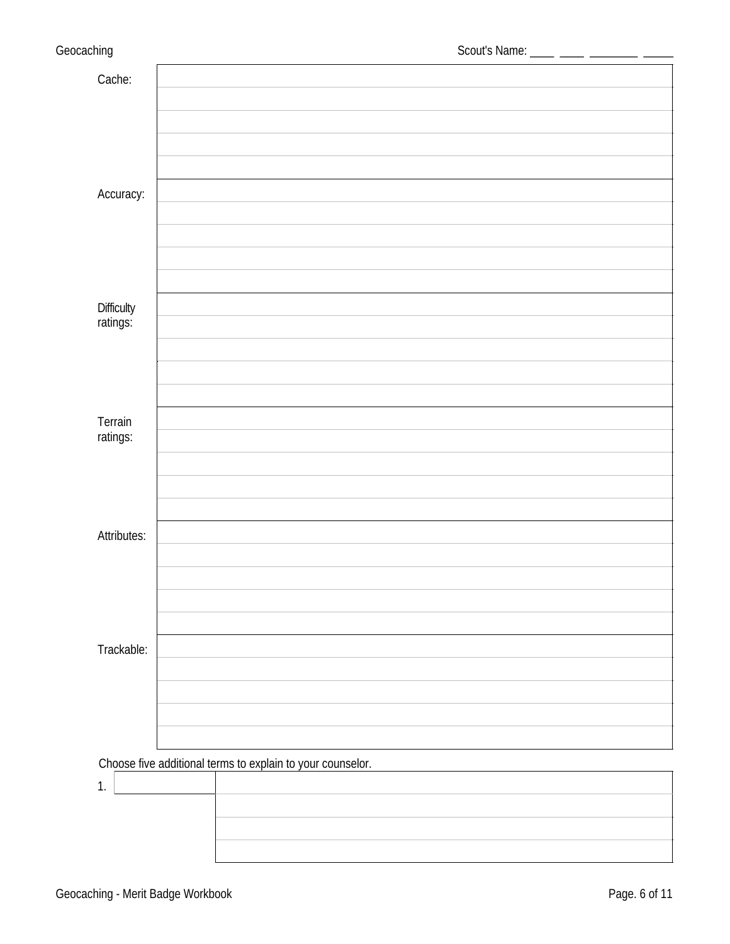| Cache:                 |                                                            |  |  |
|------------------------|------------------------------------------------------------|--|--|
|                        |                                                            |  |  |
|                        |                                                            |  |  |
|                        |                                                            |  |  |
|                        |                                                            |  |  |
|                        |                                                            |  |  |
| Accuracy:              |                                                            |  |  |
|                        |                                                            |  |  |
|                        |                                                            |  |  |
|                        |                                                            |  |  |
|                        |                                                            |  |  |
| Difficulty<br>ratings: |                                                            |  |  |
|                        |                                                            |  |  |
|                        |                                                            |  |  |
|                        |                                                            |  |  |
|                        |                                                            |  |  |
| Terrain                |                                                            |  |  |
| ratings:               |                                                            |  |  |
|                        |                                                            |  |  |
|                        |                                                            |  |  |
|                        |                                                            |  |  |
| <b>Attributes:</b>     |                                                            |  |  |
|                        |                                                            |  |  |
|                        |                                                            |  |  |
|                        |                                                            |  |  |
|                        |                                                            |  |  |
|                        |                                                            |  |  |
| Trackable:             |                                                            |  |  |
|                        |                                                            |  |  |
|                        |                                                            |  |  |
|                        |                                                            |  |  |
|                        |                                                            |  |  |
|                        | Choose five additional terms to explain to your counselor. |  |  |
| 1.                     |                                                            |  |  |
|                        |                                                            |  |  |
|                        |                                                            |  |  |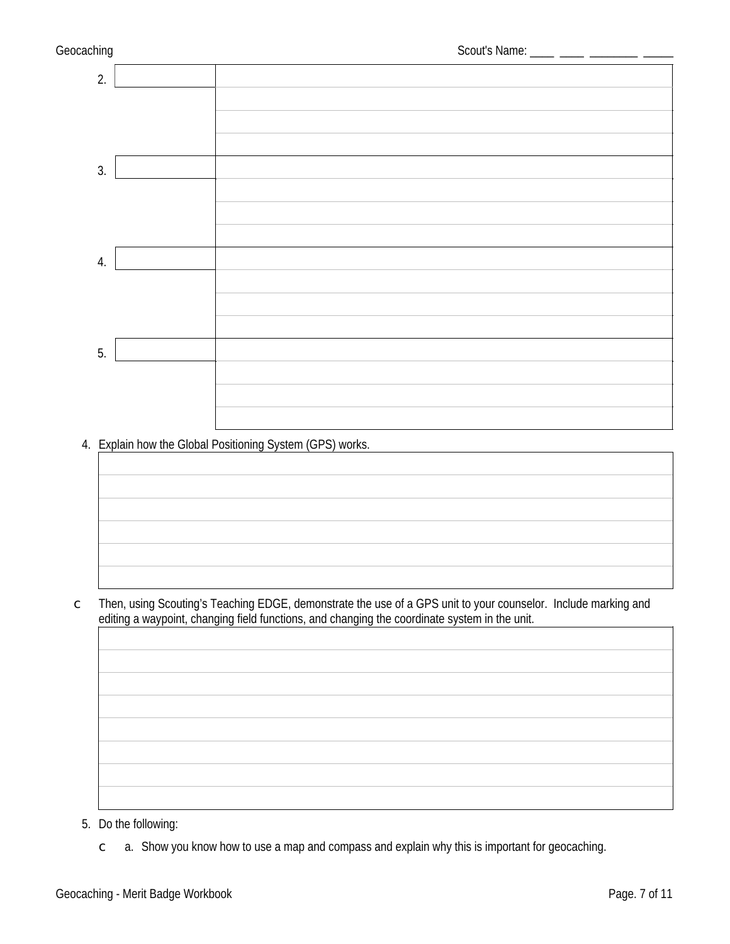

4. Explain how the Global Positioning System (GPS) works.



c Then, using Scouting's Teaching EDGE, demonstrate the use of a GPS unit to your counselor. Include marking and editing a waypoint, changing field functions, and changing the coordinate system in the unit.

- 5. Do the following:
	- $c$  a. Show you know how to use a [map and compass](http://meritbadge.org/wiki/index.php/Map_and_compass) and explain why this is important for geocaching.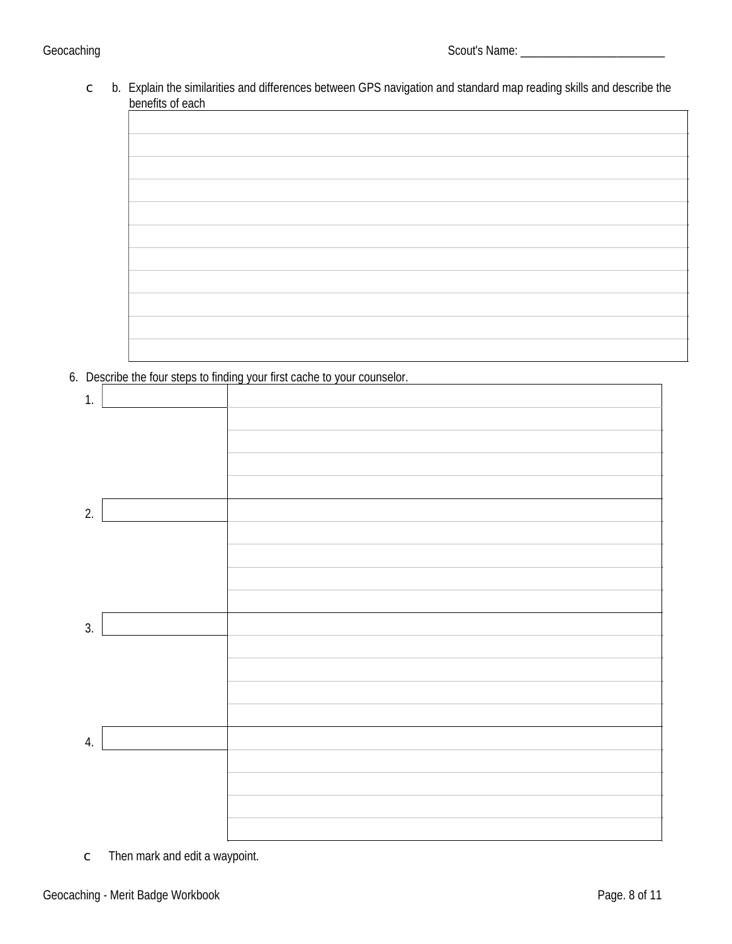c b. Explain the similarities and differences between GPS navigation and standard map reading skills and describe the benefits of each

6. Describe the four steps to finding your first cache to your counselor.

| $\mathbf{1}$ |  |
|--------------|--|
|              |  |
|              |  |
|              |  |
|              |  |
|              |  |
| 2.           |  |
|              |  |
|              |  |
|              |  |
|              |  |
|              |  |
| 3.           |  |
|              |  |
|              |  |
|              |  |
|              |  |
|              |  |
| 4.           |  |
|              |  |
|              |  |
|              |  |
|              |  |
|              |  |

c Then mark and edit a waypoint.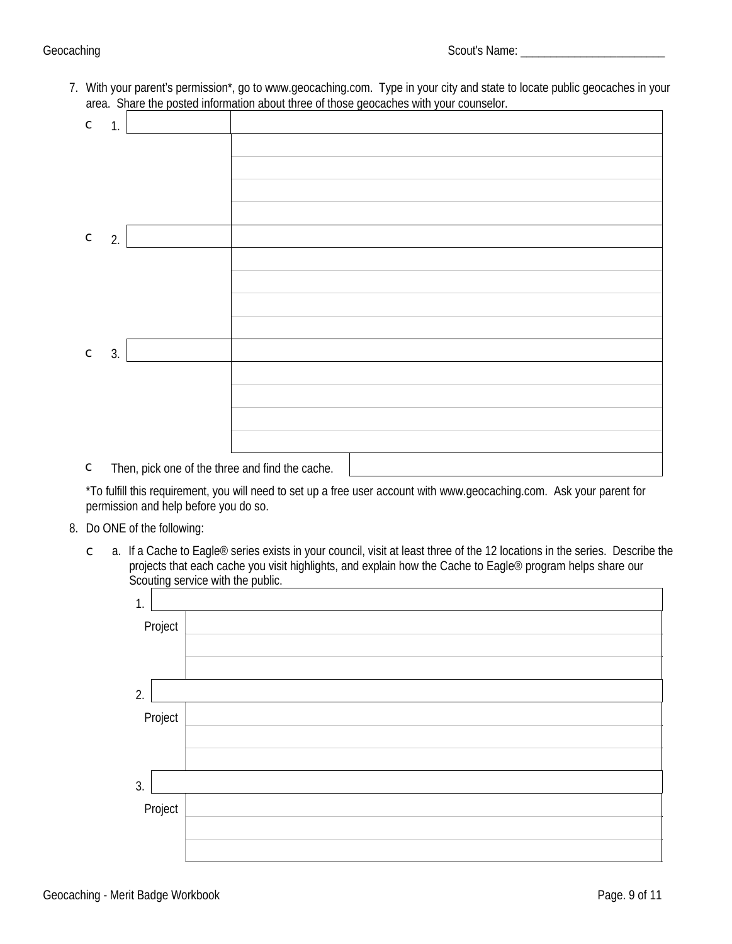7. With your parent's permission\*, go to [www.geocaching.com.](http://www.geocaching.com/) Type in your city and state to locate public geocaches in your area. Share the posted information about three of those geocaches with your counselor.

| $\mathsf C$ | 1. |       |                     |  |  |
|-------------|----|-------|---------------------|--|--|
|             |    |       |                     |  |  |
|             |    |       |                     |  |  |
|             |    |       |                     |  |  |
|             |    |       |                     |  |  |
| $\mathsf C$ | 2. |       |                     |  |  |
|             |    |       |                     |  |  |
|             |    |       |                     |  |  |
|             |    |       |                     |  |  |
|             |    |       |                     |  |  |
| $\mathsf C$ | 3. |       |                     |  |  |
|             |    |       |                     |  |  |
|             |    |       |                     |  |  |
|             |    |       |                     |  |  |
|             |    |       |                     |  |  |
|             |    | .<br> | $\mathbf{r}$<br>. . |  |  |

c Then, pick one of the three and find the cache.

\*To fulfill this requirement, you will need to set up a free user account with www.geocaching.com. Ask your parent for permission and help before you do so.

### 8. Do ONE of the following:

 $\degree$  a. If a Cache to Eagle® series exists in your council, visit at least three of the 12 locations in the series. Describe the projects that each cache you visit highlights, and explain how the Cache to Eagle® program helps share our Scouting service with the public.

| 1.      |  |
|---------|--|
| Project |  |
|         |  |
|         |  |
| 2.      |  |
| Project |  |
|         |  |
|         |  |
| 3.      |  |
| Project |  |
|         |  |
|         |  |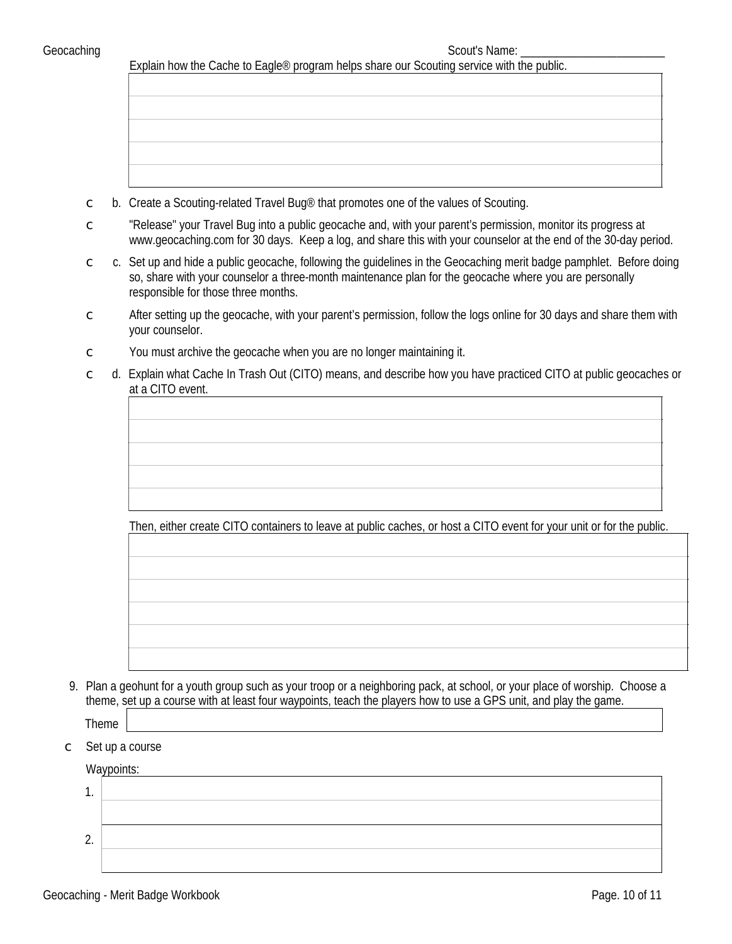Explain how the Cache to Eagle® program helps share our Scouting service with the public.

- $\degree$  b. Create a Scouting-related Travel Bug<sup>®</sup> that promotes one of the values of Scouting.
- c "Release" your Travel Bug into a public geocache and, with your parent's permission, monitor its progress at www.geocaching.com for 30 days. Keep a log, and share this with your counselor at the end of the 30-day period.
- $c c$ . Set up and hide a public geocache, following the guidelines in the Geocaching merit badge pamphlet. Before doing so, share with your counselor a three-month maintenance plan for the geocache where you are personally responsible for those three months.
- $\degree$  After setting up the geocache, with your parent's permission, follow the logs online for 30 days and share them with your counselor.
- $\epsilon$  You must archive the geocache when you are no longer maintaining it.
- c d. Explain what Cache In Trash Out (CITO) means, and describe how you have practiced CITO at public geocaches or at a CITO event.

Then, either create CITO containers to leave at public caches, or host a CITO event for your unit or for the public.

9. Plan a geohunt for a youth group such as your troop or a neighboring pack, at school, or your place of worship. Choose a theme, set up a course with at least four waypoints, teach the players how to use a GPS unit, and play the game.

Theme

 $\subset$  Set up a course

Waypoints:

1. 2.